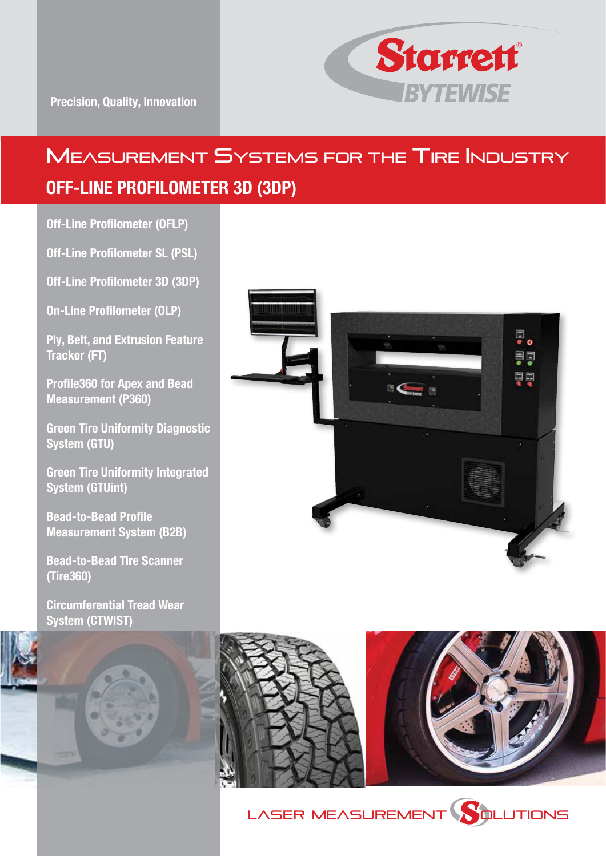

# MEASUREMENT SYSTEMS FOR THE TIRE INDUSTRY OFF-LINE PROFILOMETER 3D (3DP)

Off-Line Profilometer (OFLP)

Off-Line Profilometer SL (PSL)

Off-Line Profilometer 3D (3DP)

On-Line Profilometer (OLP)

Ply, Belt, and Extrusion Feature Tracker (FT)

Profile360 for Apex and Bead Measurement (P360)

Green Tire Uniformity Diagnostic System (GTU)

Green Tire Uniformity Integrated System (GTUint)

Bead-to-Bead Profile Measurement System (B2B)

Bead-to-Bead Tire Scanner (Tire360)

Circumferential Tread Wear System (CTWIST)







LASER MEASUREMENT **SOLUTIONS**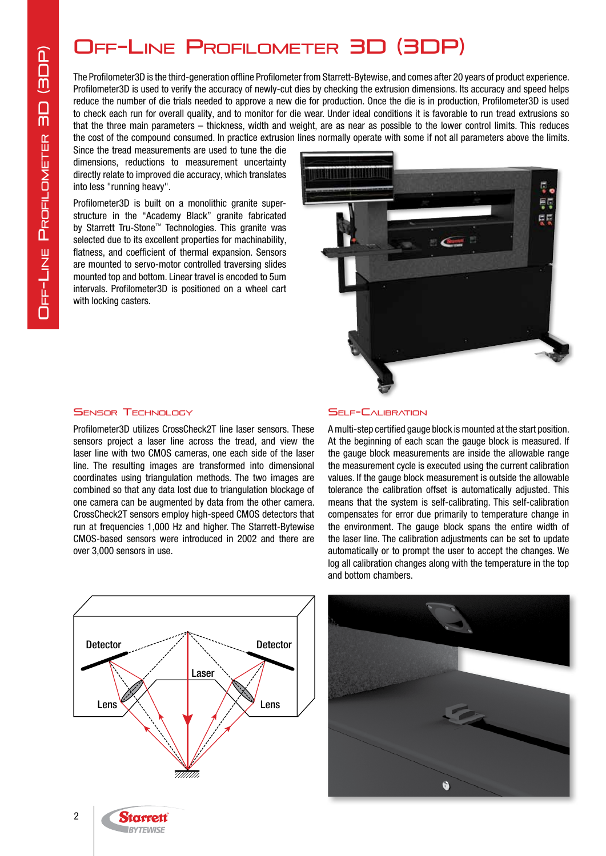## Off-Line Profilometer 3D (3DP)

The Profilometer3D is the third-generation offline Profilometer from Starrett-Bytewise, and comes after 20 years of product experience. Profilometer3D is used to verify the accuracy of newly-cut dies by checking the extrusion dimensions. Its accuracy and speed helps reduce the number of die trials needed to approve a new die for production. Once the die is in production, Profilometer3D is used to check each run for overall quality, and to monitor for die wear. Under ideal conditions it is favorable to run tread extrusions so that the three main parameters – thickness, width and weight, are as near as possible to the lower control limits. This reduces the cost of the compound consumed. In practice extrusion lines normally operate with some if not all parameters above the limits.

Since the tread measurements are used to tune the die dimensions, reductions to measurement uncertainty directly relate to improved die accuracy, which translates into less "running heavy".

Profilometer3D is built on a monolithic granite superstructure in the "Academy Black" granite fabricated by Starrett Tru-Stone™ Technologies. This granite was selected due to its excellent properties for machinability, flatness, and coefficient of thermal expansion. Sensors are mounted to servo-motor controlled traversing slides mounted top and bottom. Linear travel is encoded to 5um intervals. Profilometer3D is positioned on a wheel cart with locking casters.



#### **SENSOR TECHNOLOGY**

Profilometer3D utilizes CrossCheck2T line laser sensors. These sensors project a laser line across the tread, and view the laser line with two CMOS cameras, one each side of the laser line. The resulting images are transformed into dimensional coordinates using triangulation methods. The two images are combined so that any data lost due to triangulation blockage of one camera can be augmented by data from the other camera. CrossCheck2T sensors employ high-speed CMOS detectors that run at frequencies 1,000 Hz and higher. The Starrett-Bytewise CMOS-based sensors were introduced in 2002 and there are over 3,000 sensors in use.



#### **SELF-CALIBRATION**

A multi-step certified gauge block is mounted at the start position. At the beginning of each scan the gauge block is measured. If the gauge block measurements are inside the allowable range the measurement cycle is executed using the current calibration values. If the gauge block measurement is outside the allowable tolerance the calibration offset is automatically adjusted. This means that the system is self-calibrating. This self-calibration compensates for error due primarily to temperature change in the environment. The gauge block spans the entire width of the laser line. The calibration adjustments can be set to update automatically or to prompt the user to accept the changes. We log all calibration changes along with the temperature in the top and bottom chambers.



**Starrett RYTEWISE**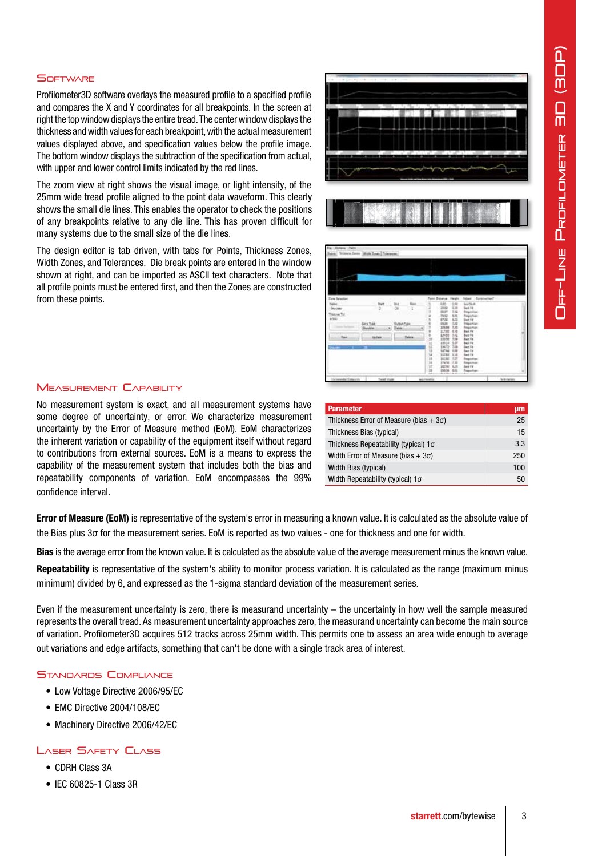#### **SOFTWARE**

Profilometer3D software overlays the measured profile to a specified profile and compares the X and Y coordinates for all breakpoints. In the screen at right the top window displays the entire tread. The center window displays the thickness and width values for each breakpoint, with the actual measurement values displayed above, and specification values below the profile image. The bottom window displays the subtraction of the specification from actual, with upper and lower control limits indicated by the red lines.

The zoom view at right shows the visual image, or light intensity, of the 25mm wide tread profile aligned to the point data waveform. This clearly shows the small die lines. This enables the operator to check the positions of any breakpoints relative to any die line. This has proven difficult for many systems due to the small size of the die lines.

The design editor is tab driven, with tabs for Points, Thickness Zones, Width Zones, and Tolerances. Die break points are entered in the window shown at right, and can be imported as ASCII text characters. Note that all profile points must be entered first, and then the Zones are constructed from these points.





#### Measurement Capability

No measurement system is exact, and all measurement systems have some degree of uncertainty, or error. We characterize measurement uncertainty by the Error of Measure method (EoM). EoM characterizes the inherent variation or capability of the equipment itself without regard to contributions from external sources. EoM is a means to express the capability of the measurement system that includes both the bias and repeatability components of variation. EoM encompasses the 99% confidence interval.

| <b>Parameter</b>                              | µm  |
|-----------------------------------------------|-----|
| Thickness Error of Measure (bias $+3\sigma$ ) | 25  |
| Thickness Bias (typical)                      | 15  |
| Thickness Repeatability (typical) $1\sigma$   | 3.3 |
| Width Error of Measure (bias $+3\sigma$ )     | 250 |
| Width Bias (typical)                          | 100 |
| Width Repeatability (typical) 1σ              | 50  |

Error of Measure (EoM) is representative of the system's error in measuring a known value. It is calculated as the absolute value of the Bias plus 3σ for the measurement series. EoM is reported as two values - one for thickness and one for width.

Bias is the average error from the known value. It is calculated as the absolute value of the average measurement minus the known value.

Repeatability is representative of the system's ability to monitor process variation. It is calculated as the range (maximum minus minimum) divided by 6, and expressed as the 1-sigma standard deviation of the measurement series.

Even if the measurement uncertainty is zero, there is measurand uncertainty – the uncertainty in how well the sample measured represents the overall tread. As measurement uncertainty approaches zero, the measurand uncertainty can become the main source of variation. Profilometer3D acquires 512 tracks across 25mm width. This permits one to assess an area wide enough to average out variations and edge artifacts, something that can't be done with a single track area of interest.

#### Standards Compliance

- Low Voltage Directive 2006/95/EC
- EMC Directive 2004/108/EC
- Machinery Directive 2006/42/EC

#### LASER SAFETY CLASS

- CDRH Class 3A
- IEC 60825-1 Class 3R